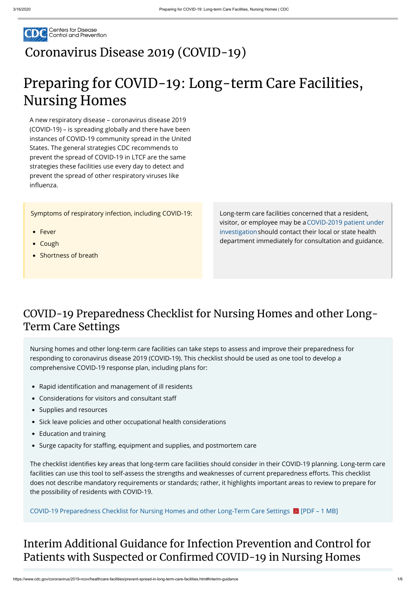

A new respiratory disease – coronavirus disease 2019 (COVID-19) – is spreading globally and there have been instances of COVID-19 community spread in the United States. The general strategies CDC recommends to prevent the spread of COVID-19 in LTCF are the same strategies these facilities use every day to detect and prevent the spread of other respiratory viruses like influenza.

## [Coronavirus](https://www.cdc.gov/coronavirus/2019-nCoV/index.html) Disease 2019 (COVID-19)

# Preparing for COVID-19: Long-term Care Facilities, Nursing Homes

Symptoms of respiratory infection, including COVID-19:

- Fever
- Cough
- Shortness of breath

Long-term care facilities concerned that a resident, [visitor, or employee may be a COVID-2019 patient under](https://www.cdc.gov/coronavirus/2019-nCoV/hcp/clinical-criteria.html) investigationshould contact their local or state health department immediately for consultation and guidance.

## COVID-19 Preparedness Checklist for Nursing Homes and other Long-Term Care Settings

## Interim Additional Guidance for Infection Prevention and Control for Patients with Suspected or Confirmed COVID-19 in Nursing Homes

Nursing homes and other long-term care facilities can take steps to assess and improve their preparedness for responding to coronavirus disease 2019 (COVID-19). This checklist should be used as one tool to develop a comprehensive COVID-19 response plan, including plans for:

- Rapid identification and management of ill residents
- Considerations for visitors and consultant sta
- Supplies and resources
- Sick leave policies and other occupational health considerations
- Education and training
- Surge capacity for staffing, equipment and supplies, and postmortem care

The checklist identifies key areas that long-term care facilities should consider in their COVID-19 planning. Long-term care facilities can use this tool to self-assess the strengths and weaknesses of current preparedness efforts. This checklist does not describe mandatory requirements or standards; rather, it highlights important areas to review to prepare for the possibility of residents with COVID-19.

[COVID-19 Preparedness Checklist for Nursing Homes and other Long-Term Care Settings](https://www.cdc.gov/coronavirus/2019-ncov/downloads/novel-coronavirus-2019-Nursing-Homes-Preparedness-Checklist_3_13.pdf)  [PDF – 1 MB]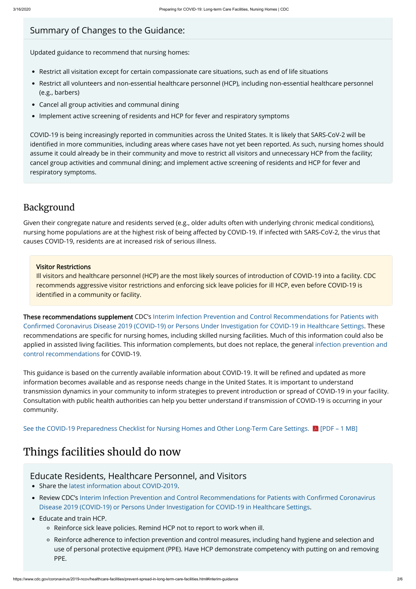- Restrict all visitation except for certain compassionate care situations, such as end of life situations
- Restrict all volunteers and non-essential healthcare personnel (HCP), including non-essential healthcare personnel (e.g., barbers)
- Cancel all group activities and communal dining
- Implement active screening of residents and HCP for fever and respiratory symptoms

#### Summary of Changes to the Guidance:

Updated guidance to recommend that nursing homes:

COVID-19 is being increasingly reported in communities across the United States. It is likely that SARS-CoV-2 will be identified in more communities, including areas where cases have not yet been reported. As such, nursing homes should assume it could already be in their community and move to restrict all visitors and unnecessary HCP from the facility; cancel group activities and communal dining; and implement active screening of residents and HCP for fever and respiratory symptoms.

These recommendations supplement CDC's Interim Infection Prevention and Control Recommendations for Patients with Confirmed Coronavirus Disease 2019 (COVID-19) or Persons Under Investigation for COVID-19 in Healthcare Settings. These recommendations are specific for nursing homes, including skilled nursing facilities. Much of this information could also be [applied in assisted living facilities. This information complements, but does not replace, the general infection prevention and](https://www.cdc.gov/coronavirus/2019-ncov/infection-control/control-recommendations.html) control recommendations for COVID-19.

#### Background

This guidance is based on the currently available information about COVID-19. It will be refined and updated as more information becomes available and as response needs change in the United States. It is important to understand transmission dynamics in your community to inform strategies to prevent introduction or spread of COVID-19 in your facility. Consultation with public health authorities can help you better understand if transmission of COVID-19 is occurring in your community.

Given their congregate nature and residents served (e.g., older adults often with underlying chronic medical conditions), nursing home populations are at the highest risk of being affected by COVID-19. If infected with SARS-CoV-2, the virus that causes COVID-19, residents are at increased risk of serious illness.

Ill visitors and healthcare personnel (HCP) are the most likely sources of introduction of COVID-19 into a facility. CDC recommends aggressive visitor restrictions and enforcing sick leave policies for ill HCP, even before COVID-19 is identified in a community or facility.

- Share the [latest information about COVID-2019](https://www.cdc.gov/COVID19).
- Review CDC's Interim Infection Prevention and Control Recommendations for Patients with Confirmed Coronavirus Disease 2019 (COVID-19) or Persons Under Investigation for COVID-19 in Healthcare Settings.
- Educate and train HCP.
	- Reinforce sick leave policies. Remind HCP not to report to work when ill.
	- Reinforce adherence to infection prevention and control measures, including hand hygiene and selection and use of personal protective equipment (PPE). Have HCP demonstrate competency with putting on and removing PPE.

## Things facilities should do now

#### Visitor Restrictions

#### Educate Residents, Healthcare Personnel, and Visitors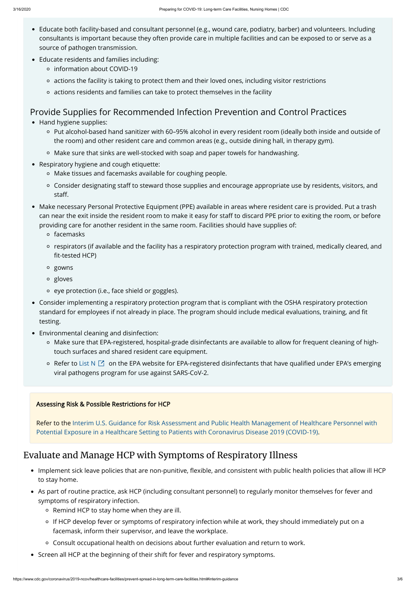### Evaluate and Manage HCP with Symptoms of Respiratory Illness

- Implement sick leave policies that are non-punitive, flexible, and consistent with public health policies that allow ill HCP to stay home.
- As part of routine practice, ask HCP (including consultant personnel) to regularly monitor themselves for fever and symptoms of respiratory infection.
	- $\circ$  Remind HCP to stay home when they are ill.
	- If HCP develop fever or symptoms of respiratory infection while at work, they should immediately put on a facemask, inform their supervisor, and leave the workplace.
	- Consult occupational health on decisions about further evaluation and return to work.
- Screen all HCP at the beginning of their shift for fever and respiratory symptoms.
- Educate both facility-based and consultant personnel (e.g., wound care, podiatry, barber) and volunteers. Including consultants is important because they often provide care in multiple facilities and can be exposed to or serve as a source of pathogen transmission.
- Educate residents and families including:
	- information about COVID-19
	- actions the facility is taking to protect them and their loved ones, including visitor restrictions
	- actions residents and families can take to protect themselves in the facility

#### Provide Supplies for Recommended Infection Prevention and Control Practices

- Hand hygiene supplies:
	- Put alcohol-based hand sanitizer with 60–95% alcohol in every resident room (ideally both inside and outside of the room) and other resident care and common areas (e.g., outside dining hall, in therapy gym).
	- Make sure that sinks are well-stocked with soap and paper towels for handwashing.
- Respiratory hygiene and cough etiquette:
	- Make tissues and facemasks available for coughing people.
	- o Consider designating staff to steward those supplies and encourage appropriate use by residents, visitors, and staff.
- Make necessary Personal Protective Equipment (PPE) available in areas where resident care is provided. Put a trash can near the exit inside the resident room to make it easy for staff to discard PPE prior to exiting the room, or before providing care for another resident in the same room. Facilities should have supplies of:
	- facemasks
	- respirators (if available and the facility has a respiratory protection program with trained, medically cleared, and fit-tested HCP)
	- gowns
	- gloves
	- eye protection (i.e., face shield or goggles).
- Consider implementing a respiratory protection program that is compliant with the OSHA respiratory protection standard for employees if not already in place. The program should include medical evaluations, training, and t testing.
- Environmental cleaning and disinfection:
	- Make sure that EPA-registered, hospital-grade disinfectants are available to allow for frequent cleaning of hightouch surfaces and shared resident care equipment.
	- Refer to [List N](https://www.epa.gov/pesticide-registration/list-n-disinfectants-use-against-sars-cov-2)  $\boxtimes$  on the EPA website for EPA-registered disinfectants that have qualified under EPA's emerging viral pathogens program for use against SARS-CoV-2.

#### Assessing Risk & Possible Restrictions for HCP

[Refer to the Interim U.S. Guidance for Risk Assessment and Public Health Management of Healthcare Personnel with](https://www.cdc.gov/coronavirus/2019-ncov/hcp/guidance-risk-assesment-hcp.html) Potential Exposure in a Healthcare Setting to Patients with Coronavirus Disease 2019 (COVID-19).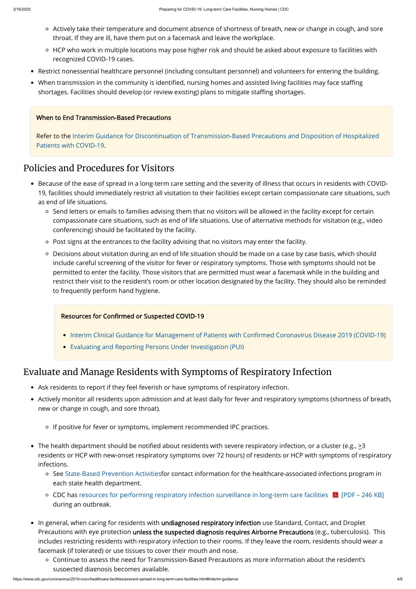- Actively take their temperature and document absence of shortness of breath, new or change in cough, and sore throat. If they are ill, have them put on a facemask and leave the workplace.
- HCP who work in multiple locations may pose higher risk and should be asked about exposure to facilities with recognized COVID-19 cases.
- Restrict nonessential healthcare personnel (including consultant personnel) and volunteers for entering the building.
- When transmission in the community is identified, nursing homes and assisted living facilities may face staffing shortages. Facilities should develop (or review existing) plans to mitigate staffing shortages.

#### Policies and Procedures for Visitors

- Ask residents to report if they feel feverish or have symptoms of respiratory infection.
- Actively monitor all residents upon admission and at least daily for fever and respiratory symptoms (shortness of breath, new or change in cough, and sore throat).
	- o If positive for fever or symptoms, implement recommended IPC practices.

- Because of the ease of spread in a long-term care setting and the severity of illness that occurs in residents with COVID-19, facilities should immediately restrict all visitation to their facilities except certain compassionate care situations, such as end of life situations.
	- Send letters or emails to families advising them that no visitors will be allowed in the facility except for certain compassionate care situations, such as end of life situations. Use of alternative methods for visitation (e.g., video conferencing) should be facilitated by the facility.
	- Post signs at the entrances to the facility advising that no visitors may enter the facility.
	- Decisions about visitation during an end of life situation should be made on a case by case basis, which should include careful screening of the visitor for fever or respiratory symptoms. Those with symptoms should not be permitted to enter the facility. Those visitors that are permitted must wear a facemask while in the building and restrict their visit to the resident's room or other location designated by the facility. They should also be reminded to frequently perform hand hygiene.

#### Resources for Confirmed or Suspected COVID-19

- The health department should be notified about residents with severe respiratory infection, or a cluster (e.g.,  $\geq$ 3 residents or HCP with new-onset respiratory symptoms over 72 hours) of residents or HCP with symptoms of respiratory infections.
	- See [State-Based Prevention Activities](https://www.cdc.gov/hai/state-based/index.html)for contact information for the healthcare-associated infections program in each state health department.
	- CDC has resources for performing respiratory infection surveillance in long-term care facilities  $\blacktriangleright$  [PDF 246 KB] during an outbreak.
- In general, when caring for residents with undiagnosed respiratory infection use Standard, Contact, and Droplet Precautions with eye protection unless the suspected diagnosis requires Airborne Precautions (e.g., tuberculosis). This includes restricting residents with respiratory infection to their rooms. If they leave the room, residents should wear a facemask (if tolerated) or use tissues to cover their mouth and nose.
	- Continue to assess the need for Transmission-Based Precautions as more information about the resident's suspected diagnosis becomes available.
- Interim Clinical Guidance for Management of Patients with Confirmed Coronavirus Disease 2019 (COVID-19)
- [Evaluating and Reporting Persons Under Investigation \(PUI\)](https://www.cdc.gov/coronavirus/2019-nCoV/hcp/clinical-criteria.html)

### Evaluate and Manage Residents with Symptoms of Respiratory Infection

#### When to End Transmission-Based Precautions

[Refer to the Interim Guidance for Discontinuation of Transmission-Based Precautions and Disposition of Hospitalized](https://www.cdc.gov/coronavirus/2019-nCoV/hcp/clinical-criteria.html) Patients with COVID-19.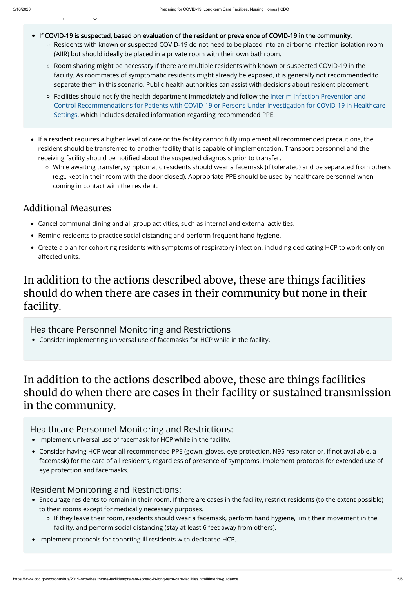suspected diagnosis becomes available.

- If COVID-19 is suspected, based on evaluation of the resident or prevalence of COVID-19 in the community,
	- Residents with known or suspected COVID-19 do not need to be placed into an airborne infection isolation room (AIIR) but should ideally be placed in a private room with their own bathroom.
	- Room sharing might be necessary if there are multiple residents with known or suspected COVID-19 in the facility. As roommates of symptomatic residents might already be exposed, it is generally not recommended to separate them in this scenario. Public health authorities can assist with decisions about resident placement.
	- Facilities should notify the health department immediately and follow the Interim Infection Prevention and [Control Recommendations for Patients with COVID-19 or Persons Under Investigation for COVID-19 in Healthcare](https://www.cdc.gov/coronavirus/2019-ncov/infection-control/control-recommendations.html?CDC_AA_refVal=https%3A%2F%2Fwww.cdc.gov%2Fcoronavirus%2F2019-ncov%2Fhcp%2Finfection-control.html) Settings, which includes detailed information regarding recommended PPE.
- If a resident requires a higher level of care or the facility cannot fully implement all recommended precautions, the resident should be transferred to another facility that is capable of implementation. Transport personnel and the receiving facility should be notified about the suspected diagnosis prior to transfer.
	- While awaiting transfer, symptomatic residents should wear a facemask (if tolerated) and be separated from others (e.g., kept in their room with the door closed). Appropriate PPE should be used by healthcare personnel when coming in contact with the resident.

- Cancel communal dining and all group activities, such as internal and external activities.
- Remind residents to practice social distancing and perform frequent hand hygiene.
- Create a plan for cohorting residents with symptoms of respiratory infection, including dedicating HCP to work only on affected units.

### Additional Measures

## In addition to the actions described above, these are things facilities should do when there are cases in their community but none in their facility.

## In addition to the actions described above, these are things facilities should do when there are cases in their facility or sustained transmission in the community.

- Implement universal use of facemask for HCP while in the facility.
- Consider having HCP wear all recommended PPE (gown, gloves, eye protection, N95 respirator or, if not available, a facemask) for the care of all residents, regardless of presence of symptoms. Implement protocols for extended use of eye protection and facemasks.

- Encourage residents to remain in their room. If there are cases in the facility, restrict residents (to the extent possible) to their rooms except for medically necessary purposes.
	- o If they leave their room, residents should wear a facemask, perform hand hygiene, limit their movement in the facility, and perform social distancing (stay at least 6 feet away from others).
- Implement protocols for cohorting ill residents with dedicated HCP.
- Healthcare Personnel Monitoring and Restrictions
- Consider implementing universal use of facemasks for HCP while in the facility.

Healthcare Personnel Monitoring and Restrictions:

#### Resident Monitoring and Restrictions: